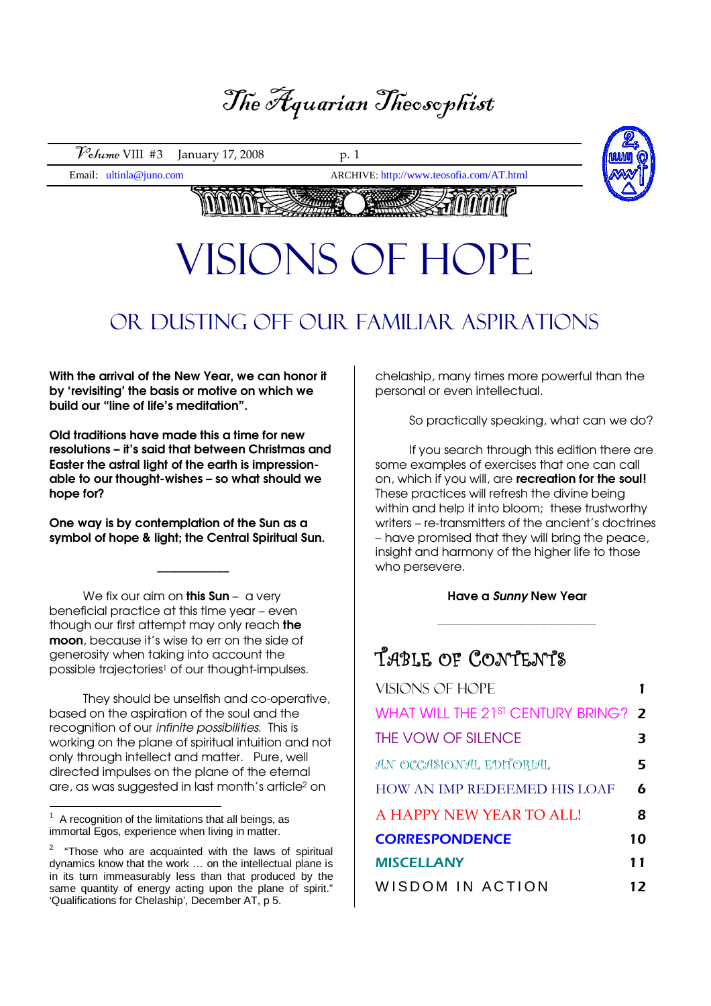## The Aquarian Theosophist

 $\mathcal{V}_{\text{o}}$ *fume* VIII #3 January 17, 2008 p. 1

Email: ultinla@juno.com ARCHIVE: http://www.teosofia.com/AT.html



## $V \cup V$ VISIONS OF HOPE

## Or Dusting off our familiar aspirations

With the arrival of the New Year, we can honor it by 'revisiting' the basis or motive on which we build our "line of life's meditation".

Old traditions have made this a time for new resolutions – it's said that between Christmas and Easter the astral light of the earth is impressionable to our thought-wishes – so what should we hope for?

One way is by contemplation of the Sun as a symbol of hope & light; the Central Spiritual Sun.

\_\_\_\_\_\_\_\_\_\_\_\_

We fix our aim on **this Sun** – a very beneficial practice at this time year – even though our first attempt may only reach the moon, because it's wise to err on the side of generosity when taking into account the possible trajectories<sup>1</sup> of our thought-impulses.

They should be unselfish and co-operative, based on the aspiration of the soul and the recognition of our infinite possibilities. This is working on the plane of spiritual intuition and not only through intellect and matter. Pure, well directed impulses on the plane of the eternal are, as was suggested in last month's article2 on

chelaship, many times more powerful than the personal or even intellectual.

So practically speaking, what can we do?

If you search through this edition there are some examples of exercises that one can call on, which if you will, are recreation for the soul! These practices will refresh the divine being within and help it into bloom; these trustworthy writers – re-transmitters of the ancient's doctrines – have promised that they will bring the peace, insight and harmony of the higher life to those who persevere.

#### Have a Sunny New Year

 $\_$  ,  $\_$  ,  $\_$  ,  $\_$  ,  $\_$  ,  $\_$  ,  $\_$  ,  $\_$  ,  $\_$  ,  $\_$  ,  $\_$  ,  $\_$  ,  $\_$  ,  $\_$  ,  $\_$  ,  $\_$ 

### TABLE OF CONTENTS

| VISIONS OF HOPE                     |    |
|-------------------------------------|----|
| WHAT WILL THE 21ST CENTURY BRING? 2 |    |
| THE VOW OF SILENCE                  | 3  |
| AN OCCASIONAL EDITORIAL             | 5  |
| <b>HOW AN IMP REDEEMED HIS LOAF</b> | 6  |
| A HAPPY NEW YEAR TO ALL!            | 8  |
| <b>CORRESPONDENCE</b>               | 10 |
| <b>MISCELLANY</b>                   | 11 |
| WISDOM IN ACTION                    | 12 |

 $\frac{1}{1}$  A recognition of the limitations that all beings, as immortal Egos, experience when living in matter.

<sup>2</sup> "Those who are acquainted with the laws of spiritual dynamics know that the work … on the intellectual plane is in its turn immeasurably less than that produced by the same quantity of energy acting upon the plane of spirit." 'Qualifications for Chelaship', December AT, p 5.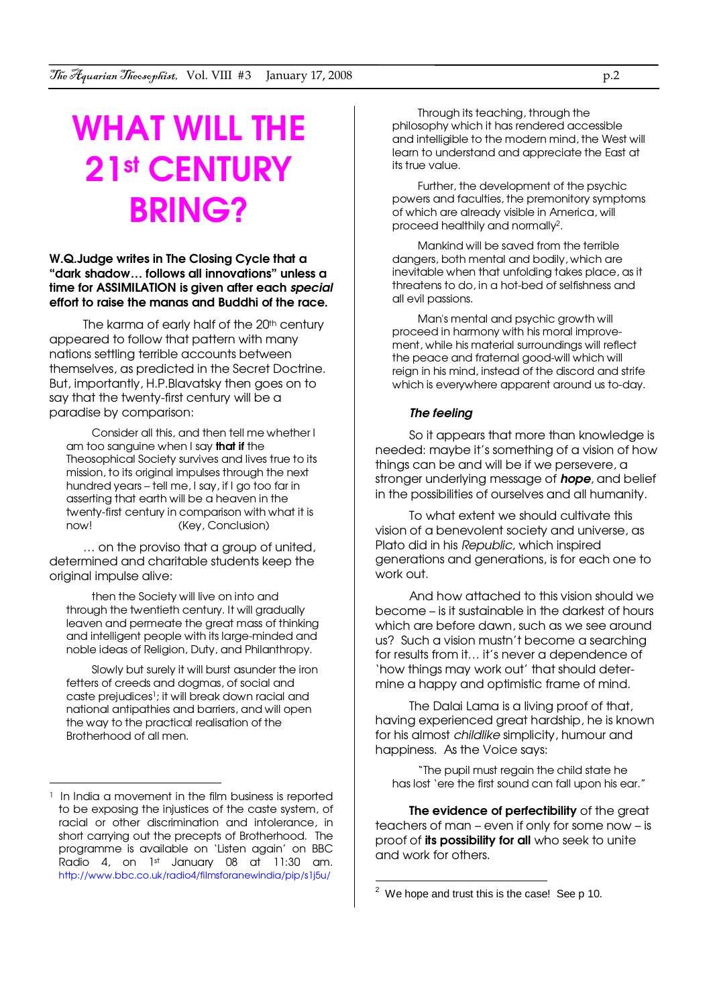## WHAT WILL THE 21st CENTURY BRING?

#### W.Q.Judge writes in The Closing Cycle that a "dark shadow… follows all innovations" unless a time for ASSIMILATION is given after each special effort to raise the manas and Buddhi of the race.

The karma of early half of the 20<sup>th</sup> century appeared to follow that pattern with many nations settling terrible accounts between themselves, as predicted in the Secret Doctrine. But, importantly, H.P.Blavatsky then goes on to say that the twenty-first century will be a paradise by comparison:

Consider all this, and then tell me whether I am too sanguine when I say **that if** the Theosophical Society survives and lives true to its mission, to its original impulses through the next hundred years – tell me, I say, if I go too far in asserting that earth will be a heaven in the twenty-first century in comparison with what it is now! (Key, Conclusion)

… on the proviso that a group of united, determined and charitable students keep the original impulse alive:

then the Society will live on into and through the twentieth century. It will gradually leaven and permeate the great mass of thinking and intelligent people with its large-minded and noble ideas of Religion, Duty, and Philanthropy.

Slowly but surely it will burst asunder the iron fetters of creeds and dogmas, of social and caste prejudices1; it will break down racial and national antipathies and barriers, and will open the way to the practical realisation of the Brotherhood of all men.

 $\overline{a}$ 

Through its teaching, through the philosophy which it has rendered accessible and intelligible to the modern mind, the West will learn to understand and appreciate the East at its true value.

Further, the development of the psychic powers and faculties, the premonitory symptoms of which are already visible in America, will proceed healthily and normally2.

Mankind will be saved from the terrible dangers, both mental and bodily, which are inevitable when that unfolding takes place, as it threatens to do, in a hot-bed of selfishness and all evil passions.

Man's mental and psychic growth will proceed in harmony with his moral improvement, while his material surroundings will reflect the peace and fraternal good-will which will reign in his mind, instead of the discord and strife which is everywhere apparent around us to-day.

#### The feeling

So it appears that more than knowledge is needed: maybe it's something of a vision of how things can be and will be if we persevere, a stronger underlying message of **hope**, and belief in the possibilities of ourselves and all humanity.

To what extent we should cultivate this vision of a benevolent society and universe, as Plato did in his Republic, which inspired generations and generations, is for each one to work out.

And how attached to this vision should we become – is it sustainable in the darkest of hours which are before dawn, such as we see around us? Such a vision mustn't become a searching for results from it… it's never a dependence of 'how things may work out' that should determine a happy and optimistic frame of mind.

The Dalai Lama is a living proof of that, having experienced great hardship, he is known for his almost childlike simplicity, humour and happiness. As the Voice says:

"The pupil must regain the child state he has lost 'ere the first sound can fall upon his ear."

The evidence of perfectibility of the great teachers of man – even if only for some now – is proof of its possibility for all who seek to unite and work for others.

<sup>&</sup>lt;sup>1</sup> In India a movement in the film business is reported to be exposing the injustices of the caste system, of racial or other discrimination and intolerance, in short carrying out the precepts of Brotherhood. The programme is available on 'Listen again' on BBC Radio 4, on 1st January 08 at 11:30 am. http://www.bbc.co.uk/radio4/filmsforanewindia/pip/s1j5u/

 2 We hope and trust this is the case! See p 10.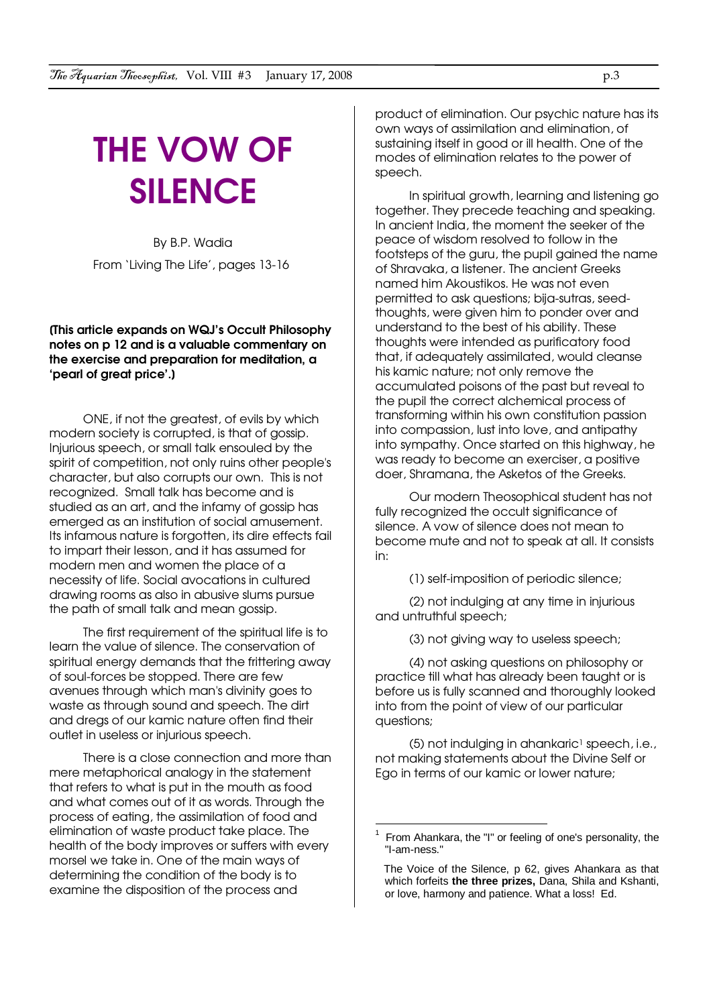# THE VOW OF **SILENCE**

By B.P. Wadia From 'Living The Life', pages 13-16

#### [This article expands on WQJ's Occult Philosophy notes on p 12 and is a valuable commentary on the exercise and preparation for meditation, a 'pearl of great price'.]

ONE, if not the greatest, of evils by which modern society is corrupted, is that of gossip. Injurious speech, or small talk ensouled by the spirit of competition, not only ruins other people's character, but also corrupts our own. This is not recognized. Small talk has become and is studied as an art, and the infamy of gossip has emerged as an institution of social amusement. Its infamous nature is forgotten, its dire effects fail to impart their lesson, and it has assumed for modern men and women the place of a necessity of life. Social avocations in cultured drawing rooms as also in abusive slums pursue the path of small talk and mean gossip.

The first requirement of the spiritual life is to learn the value of silence. The conservation of spiritual energy demands that the frittering away of soul-forces be stopped. There are few avenues through which man's divinity goes to waste as through sound and speech. The dirt and dregs of our kamic nature often find their outlet in useless or injurious speech.

There is a close connection and more than mere metaphorical analogy in the statement that refers to what is put in the mouth as food and what comes out of it as words. Through the process of eating, the assimilation of food and elimination of waste product take place. The health of the body improves or suffers with every morsel we take in. One of the main ways of determining the condition of the body is to examine the disposition of the process and

product of elimination. Our psychic nature has its own ways of assimilation and elimination, of sustaining itself in good or ill health. One of the modes of elimination relates to the power of speech.

In spiritual growth, learning and listening go together. They precede teaching and speaking. In ancient India, the moment the seeker of the peace of wisdom resolved to follow in the footsteps of the guru, the pupil gained the name of Shravaka, a listener. The ancient Greeks named him Akoustikos. He was not even permitted to ask questions; bija-sutras, seedthoughts, were given him to ponder over and understand to the best of his ability. These thoughts were intended as purificatory food that, if adequately assimilated, would cleanse his kamic nature; not only remove the accumulated poisons of the past but reveal to the pupil the correct alchemical process of transforming within his own constitution passion into compassion, lust into love, and antipathy into sympathy. Once started on this highway, he was ready to become an exerciser, a positive doer, Shramana, the Asketos of the Greeks.

Our modern Theosophical student has not fully recognized the occult significance of silence. A vow of silence does not mean to become mute and not to speak at all. It consists in:

(1) self-imposition of periodic silence;

(2) not indulging at any time in injurious and untruthful speech;

(3) not giving way to useless speech;

(4) not asking questions on philosophy or practice till what has already been taught or is before us is fully scanned and thoroughly looked into from the point of view of our particular questions;

(5) not indulging in ahankaric<sup>1</sup> speech, i.e., not making statements about the Divine Self or Ego in terms of our kamic or lower nature;

 $\overline{a}$ 

<sup>1</sup> From Ahankara, the "I" or feeling of one's personality, the "I-am-ness."

The Voice of the Silence, p 62, gives Ahankara as that which forfeits **the three prizes,** Dana, Shila and Kshanti, or love, harmony and patience. What a loss! Ed.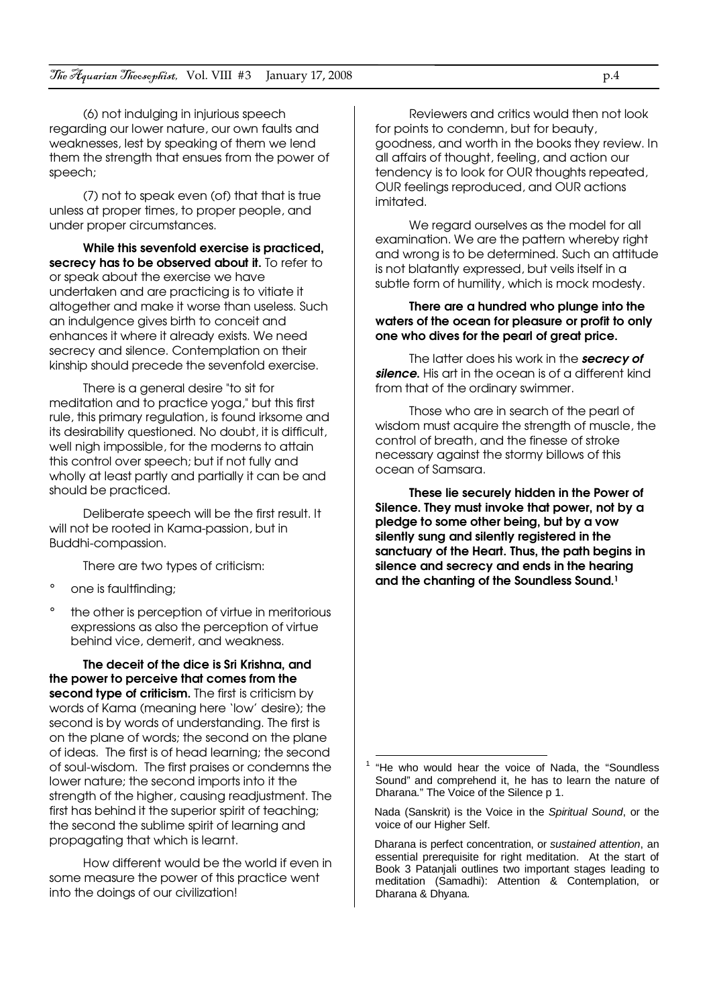(6) not indulging in injurious speech regarding our lower nature, our own faults and weaknesses, lest by speaking of them we lend them the strength that ensues from the power of speech;

(7) not to speak even (of) that that is true unless at proper times, to proper people, and under proper circumstances.

While this sevenfold exercise is practiced, secrecy has to be observed about it. To refer to or speak about the exercise we have undertaken and are practicing is to vitiate it altogether and make it worse than useless. Such an indulgence gives birth to conceit and enhances it where it already exists. We need secrecy and silence. Contemplation on their kinship should precede the sevenfold exercise.

There is a general desire "to sit for meditation and to practice yoga," but this first rule, this primary regulation, is found irksome and its desirability questioned. No doubt, it is difficult, well nigh impossible, for the moderns to attain this control over speech; but if not fully and wholly at least partly and partially it can be and should be practiced.

Deliberate speech will be the first result. It will not be rooted in Kama-passion, but in Buddhi-compassion.

There are two types of criticism:

- ° one is faultfinding;
- the other is perception of virtue in meritorious expressions as also the perception of virtue behind vice, demerit, and weakness.

The deceit of the dice is Sri Krishna, and the power to perceive that comes from the second type of criticism. The first is criticism by words of Kama (meaning here 'low' desire); the second is by words of understanding. The first is on the plane of words; the second on the plane of ideas. The first is of head learning; the second of soul-wisdom. The first praises or condemns the lower nature; the second imports into it the strength of the higher, causing readjustment. The first has behind it the superior spirit of teaching; the second the sublime spirit of learning and propagating that which is learnt.

How different would be the world if even in some measure the power of this practice went into the doings of our civilization!

Reviewers and critics would then not look for points to condemn, but for beauty, goodness, and worth in the books they review. In all affairs of thought, feeling, and action our tendency is to look for OUR thoughts repeated, OUR feelings reproduced, and OUR actions imitated.

We regard ourselves as the model for all examination. We are the pattern whereby right and wrong is to be determined. Such an attitude is not blatantly expressed, but veils itself in a subtle form of humility, which is mock modesty.

#### There are a hundred who plunge into the waters of the ocean for pleasure or profit to only one who dives for the pearl of great price.

The latter does his work in the secrecy of silence. His art in the ocean is of a different kind from that of the ordinary swimmer.

Those who are in search of the pearl of wisdom must acquire the strength of muscle, the control of breath, and the finesse of stroke necessary against the stormy billows of this ocean of Samsara.

These lie securely hidden in the Power of Silence. They must invoke that power, not by a pledge to some other being, but by a vow silently sung and silently registered in the sanctuary of the Heart. Thus, the path begins in silence and secrecy and ends in the hearing and the chanting of the Soundless Sound.<sup>1</sup>

 $\overline{a}$ 

Nada (Sanskrit) is the Voice in the Spiritual Sound, or the voice of our Higher Self.

Dharana is perfect concentration, or sustained attention, an essential prerequisite for right meditation. At the start of Book 3 Patanjali outlines two important stages leading to meditation (Samadhi): Attention & Contemplation, or Dharana & Dhyana.

<sup>&</sup>lt;sup>1</sup> "He who would hear the voice of Nada, the "Soundless Sound" and comprehend it, he has to learn the nature of Dharana." The Voice of the Silence p 1.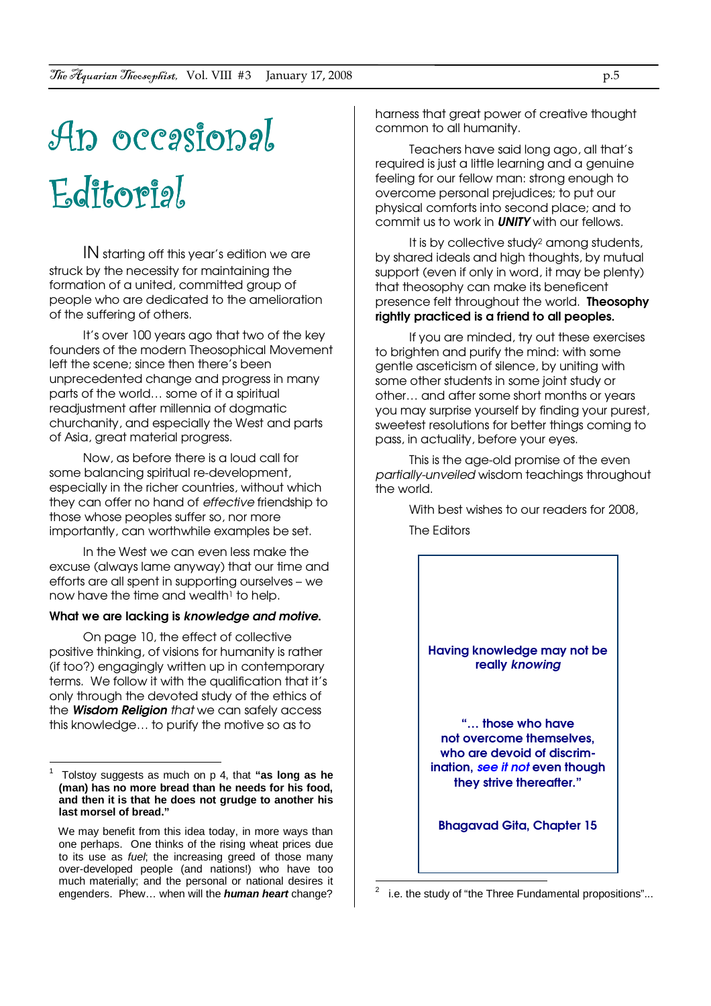# An occasional Editorial

IN starting off this year's edition we are struck by the necessity for maintaining the formation of a united, committed group of people who are dedicated to the amelioration of the suffering of others.

It's over 100 years ago that two of the key founders of the modern Theosophical Movement left the scene; since then there's been unprecedented change and progress in many parts of the world… some of it a spiritual readjustment after millennia of dogmatic churchanity, and especially the West and parts of Asia, great material progress.

Now, as before there is a loud call for some balancing spiritual re-development, especially in the richer countries, without which they can offer no hand of effective friendship to those whose peoples suffer so, nor more importantly, can worthwhile examples be set.

In the West we can even less make the excuse (always lame anyway) that our time and efforts are all spent in supporting ourselves – we now have the time and wealth $\frac{1}{1}$  to help.

#### What we are lacking is knowledge and motive.

On page 10, the effect of collective positive thinking, of visions for humanity is rather (if too?) engagingly written up in contemporary terms. We follow it with the qualification that it's only through the devoted study of the ethics of the **Wisdom Religion** that we can safely access this knowledge… to purify the motive so as to

harness that great power of creative thought common to all humanity.

Teachers have said long ago, all that's required is just a little learning and a genuine feeling for our fellow man: strong enough to overcome personal prejudices; to put our physical comforts into second place; and to commit us to work in **UNITY** with our fellows.

It is by collective study<sup>2</sup> among students, by shared ideals and high thoughts, by mutual support (even if only in word, it may be plenty) that theosophy can make its beneficent presence felt throughout the world. Theosophy rightly practiced is a friend to all peoples.

If you are minded, try out these exercises to brighten and purify the mind: with some gentle asceticism of silence, by uniting with some other students in some joint study or other… and after some short months or years you may surprise yourself by finding your purest, sweetest resolutions for better things coming to pass, in actuality, before your eyes.

This is the age-old promise of the even partially-unveiled wisdom teachings throughout the world.

> With best wishes to our readers for 2008, The Editors

Having knowledge may not be really knowing

"… those who have not overcome themselves, who are devoid of discrimination, see it not even though they strive thereafter."

Bhagavad Gita, Chapter 15

<sup>1</sup> Tolstoy suggests as much on p 4, that **"as long as he (man) has no more bread than he needs for his food, and then it is that he does not grudge to another his last morsel of bread."**

We may benefit from this idea today, in more ways than one perhaps. One thinks of the rising wheat prices due to its use as *fuel*; the increasing greed of those many over-developed people (and nations!) who have too much materially; and the personal or national desires it engenders. Phew… when will the **human heart** change?

 $\frac{1}{2}$ i.e. the study of "the Three Fundamental propositions"...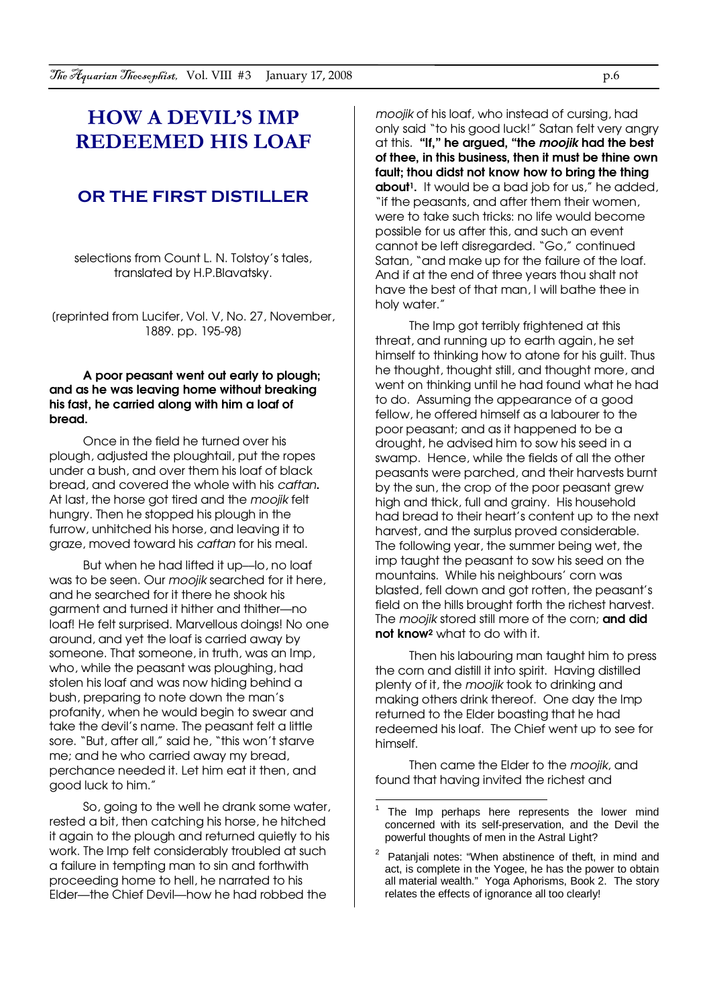### HOW A DEVIL'S IMP REDEEMED HIS LOAF

#### OR THE FIRST DISTILLER

selections from Count L. N. Tolstoy's tales, translated by H.P.Blavatsky.

[reprinted from Lucifer, Vol. V, No. 27, November, 1889. pp. 195-98]

#### A poor peasant went out early to plough; and as he was leaving home without breaking his fast, he carried along with him a loaf of bread.

Once in the field he turned over his plough, adjusted the ploughtail, put the ropes under a bush, and over them his loaf of black bread, and covered the whole with his caftan. At last, the horse got tired and the moojik felt hungry. Then he stopped his plough in the furrow, unhitched his horse, and leaving it to graze, moved toward his caftan for his meal.

But when he had lifted it up-lo, no loaf was to be seen. Our *mooilk* searched for it here, and he searched for it there he shook his garment and turned it hither and thither—no loaf! He felt surprised. Marvellous doings! No one around, and yet the loaf is carried away by someone. That someone, in truth, was an Imp, who, while the peasant was ploughing, had stolen his loaf and was now hiding behind a bush, preparing to note down the man's profanity, when he would begin to swear and take the devil's name. The peasant felt a little sore. "But, after all," said he, "this won't starve me; and he who carried away my bread, perchance needed it. Let him eat it then, and good luck to him."

So, going to the well he drank some water, rested a bit, then catching his horse, he hitched it again to the plough and returned quietly to his work. The Imp felt considerably troubled at such a failure in tempting man to sin and forthwith proceeding home to hell, he narrated to his Elder—the Chief Devil—how he had robbed the

moojik of his loaf, who instead of cursing, had only said "to his good luck!" Satan felt very angry at this. "If," he argued, "the moojik had the best of thee, in this business, then it must be thine own fault; thou didst not know how to bring the thing about<sup>1</sup>. It would be a bad job for us," he added, "if the peasants, and after them their women, were to take such tricks: no life would become possible for us after this, and such an event cannot be left disregarded. "Go," continued Satan, "and make up for the failure of the loaf. And if at the end of three years thou shalt not have the best of that man, I will bathe thee in holy water."

The Imp got terribly frightened at this threat, and running up to earth again, he set himself to thinking how to atone for his guilt. Thus he thought, thought still, and thought more, and went on thinking until he had found what he had to do. Assuming the appearance of a good fellow, he offered himself as a labourer to the poor peasant; and as it happened to be a drought, he advised him to sow his seed in a swamp. Hence, while the fields of all the other peasants were parched, and their harvests burnt by the sun, the crop of the poor peasant grew high and thick, full and grainy. His household had bread to their heart's content up to the next harvest, and the surplus proved considerable. The following year, the summer being wet, the imp taught the peasant to sow his seed on the mountains. While his neighbours' corn was blasted, fell down and got rotten, the peasant's field on the hills brought forth the richest harvest. The moojik stored still more of the corn; and did not know<sup>2</sup> what to do with it.

Then his labouring man taught him to press the corn and distill it into spirit. Having distilled plenty of it, the moojik took to drinking and making others drink thereof. One day the Imp returned to the Elder boasting that he had redeemed his loaf. The Chief went up to see for himself.

Then came the Elder to the *moojik*, and found that having invited the richest and

 $\overline{\phantom{a}}$ 

<sup>1</sup> The Imp perhaps here represents the lower mind concerned with its self-preservation, and the Devil the powerful thoughts of men in the Astral Light?

<sup>2</sup> Patanjali notes: "When abstinence of theft, in mind and act, is complete in the Yogee, he has the power to obtain all material wealth." Yoga Aphorisms, Book 2. The story relates the effects of ignorance all too clearly!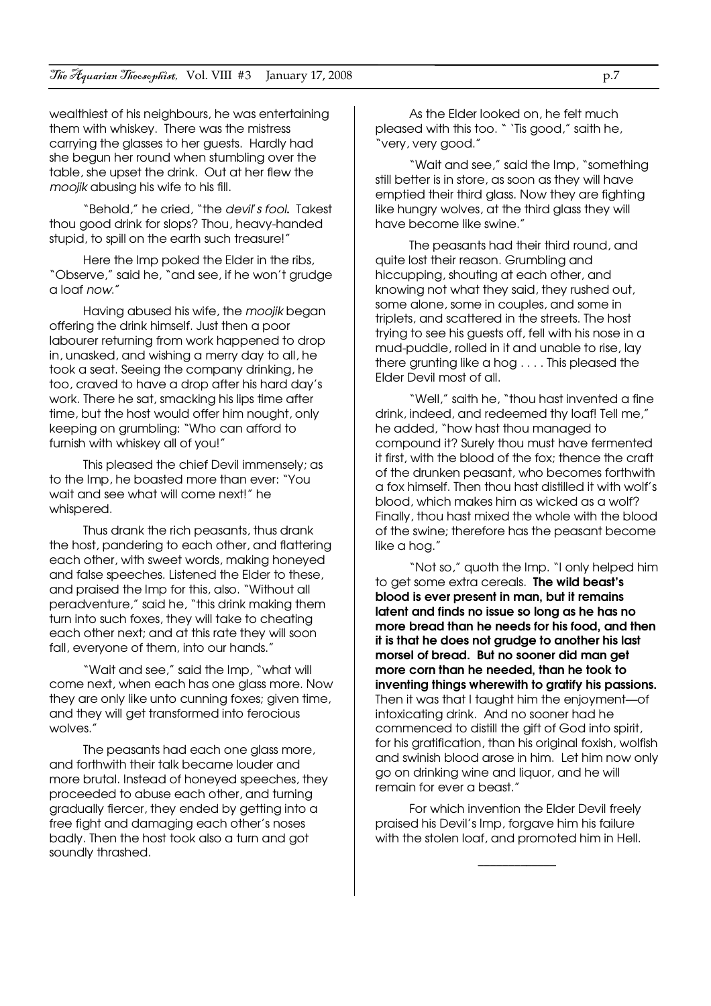wealthiest of his neighbours, he was entertaining them with whiskey. There was the mistress carrying the glasses to her guests. Hardly had she begun her round when stumbling over the table, she upset the drink. Out at her flew the moojik abusing his wife to his fill.

"Behold," he cried, "the devil's fool. Takest thou good drink for slops? Thou, heavy-handed stupid, to spill on the earth such treasure!"

Here the Imp poked the Elder in the ribs, "Observe," said he, "and see, if he won't grudge a loaf now."

Having abused his wife, the moojik began offering the drink himself. Just then a poor labourer returning from work happened to drop in, unasked, and wishing a merry day to all, he took a seat. Seeing the company drinking, he too, craved to have a drop after his hard day's work. There he sat, smacking his lips time after time, but the host would offer him nought, only keeping on grumbling: "Who can afford to furnish with whiskey all of you!"

This pleased the chief Devil immensely; as to the Imp, he boasted more than ever: "You wait and see what will come next!" he whispered.

Thus drank the rich peasants, thus drank the host, pandering to each other, and flattering each other, with sweet words, making honeyed and false speeches. Listened the Elder to these, and praised the Imp for this, also. "Without all peradventure," said he, "this drink making them turn into such foxes, they will take to cheating each other next; and at this rate they will soon fall, everyone of them, into our hands."

"Wait and see," said the Imp, "what will come next, when each has one glass more. Now they are only like unto cunning foxes; given time, and they will get transformed into ferocious wolves."

The peasants had each one glass more, and forthwith their talk became louder and more brutal. Instead of honeyed speeches, they proceeded to abuse each other, and turning gradually fiercer, they ended by getting into a free fight and damaging each other's noses badly. Then the host took also a turn and got soundly thrashed.

As the Elder looked on, he felt much pleased with this too. " 'Tis good," saith he, "very, very good."

"Wait and see," said the Imp, "something still better is in store, as soon as they will have emptied their third glass. Now they are fighting like hungry wolves, at the third glass they will have become like swine."

The peasants had their third round, and quite lost their reason. Grumbling and hiccupping, shouting at each other, and knowing not what they said, they rushed out, some alone, some in couples, and some in triplets, and scattered in the streets. The host trying to see his guests off, fell with his nose in a mud-puddle, rolled in it and unable to rise, lay there grunting like a hog . . . . This pleased the Elder Devil most of all.

"Well," saith he, "thou hast invented a fine drink, indeed, and redeemed thy loaf! Tell me," he added, "how hast thou managed to compound it? Surely thou must have fermented it first, with the blood of the fox; thence the craft of the drunken peasant, who becomes forthwith a fox himself. Then thou hast distilled it with wolf's blood, which makes him as wicked as a wolf? Finally, thou hast mixed the whole with the blood of the swine; therefore has the peasant become like a hog."

"Not so," quoth the Imp. "I only helped him to get some extra cereals. The wild beast's blood is ever present in man, but it remains latent and finds no issue so long as he has no more bread than he needs for his food, and then it is that he does not grudge to another his last morsel of bread. But no sooner did man get more corn than he needed, than he took to inventing things wherewith to gratify his passions. Then it was that I taught him the enjoyment—of intoxicating drink. And no sooner had he commenced to distill the gift of God into spirit, for his gratification, than his original foxish, wolfish and swinish blood arose in him. Let him now only go on drinking wine and liquor, and he will remain for ever a beast."

For which invention the Elder Devil freely praised his Devil's Imp, forgave him his failure with the stolen loaf, and promoted him in Hell.

\_\_\_\_\_\_\_\_\_\_\_\_\_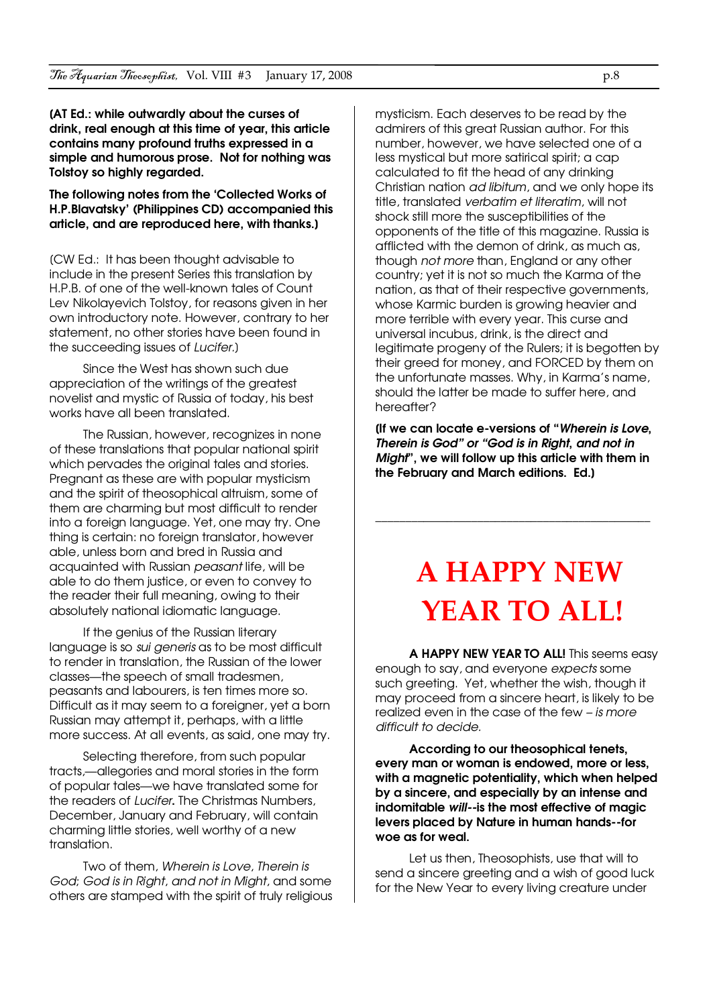[AT Ed.: while outwardly about the curses of drink, real enough at this time of year, this article contains many profound truths expressed in a simple and humorous prose. Not for nothing was Tolstoy so highly regarded.

The following notes from the 'Collected Works of H.P.Blavatsky' (Philippines CD) accompanied this article, and are reproduced here, with thanks.]

[CW Ed.: It has been thought advisable to include in the present Series this translation by H.P.B. of one of the well-known tales of Count Lev Nikolayevich Tolstoy, for reasons given in her own introductory note. However, contrary to her statement, no other stories have been found in the succeeding issues of Lucifer.]

Since the West has shown such due appreciation of the writings of the greatest novelist and mystic of Russia of today, his best works have all been translated.

The Russian, however, recognizes in none of these translations that popular national spirit which pervades the original tales and stories. Pregnant as these are with popular mysticism and the spirit of theosophical altruism, some of them are charming but most difficult to render into a foreign language. Yet, one may try. One thing is certain: no foreign translator, however able, unless born and bred in Russia and acquainted with Russian peasant life, will be able to do them justice, or even to convey to the reader their full meaning, owing to their absolutely national idiomatic language.

If the genius of the Russian literary language is so sui generis as to be most difficult to render in translation, the Russian of the lower classes—the speech of small tradesmen, peasants and labourers, is ten times more so. Difficult as it may seem to a foreigner, yet a born Russian may attempt it, perhaps, with a little more success. At all events, as said, one may try.

Selecting therefore, from such popular tracts,—allegories and moral stories in the form of popular tales—we have translated some for the readers of Lucifer. The Christmas Numbers, December, January and February, will contain charming little stories, well worthy of a new translation.

Two of them, Wherein is Love, Therein is God; God is in Right, and not in Might, and some others are stamped with the spirit of truly religious mysticism. Each deserves to be read by the admirers of this great Russian author. For this number, however, we have selected one of a less mystical but more satirical spirit; a cap calculated to fit the head of any drinking Christian nation ad libitum, and we only hope its title, translated verbatim et literatim, will not shock still more the susceptibilities of the opponents of the title of this magazine. Russia is afflicted with the demon of drink, as much as, though not more than, England or any other country; yet it is not so much the Karma of the nation, as that of their respective governments, whose Karmic burden is growing heavier and more terrible with every year. This curse and universal incubus, drink, is the direct and legitimate progeny of the Rulers; it is begotten by their greed for money, and FORCED by them on the unfortunate masses. Why, in Karma's name, should the latter be made to suffer here, and hereafter?

(If we can locate e-versions of "Wherein is Love, Therein is God" or "God is in Right, and not in Might", we will follow up this article with them in the February and March editions. Ed.]

\_\_\_\_\_\_\_\_\_\_\_\_\_\_\_\_\_\_\_\_\_\_\_\_\_\_\_\_\_\_\_\_\_\_\_\_\_\_\_\_\_\_\_\_\_\_

## A HAPPY NEW YEAR TO ALL!

A HAPPY NEW YEAR TO ALL! This seems easy enough to say, and everyone expects some such greeting. Yet, whether the wish, though it may proceed from a sincere heart, is likely to be realized even in the case of the few – is more difficult to decide.

According to our theosophical tenets, every man or woman is endowed, more or less, with a magnetic potentiality, which when helped by a sincere, and especially by an intense and indomitable will--is the most effective of magic levers placed by Nature in human hands--for woe as for weal.

Let us then, Theosophists, use that will to send a sincere greeting and a wish of good luck for the New Year to every living creature under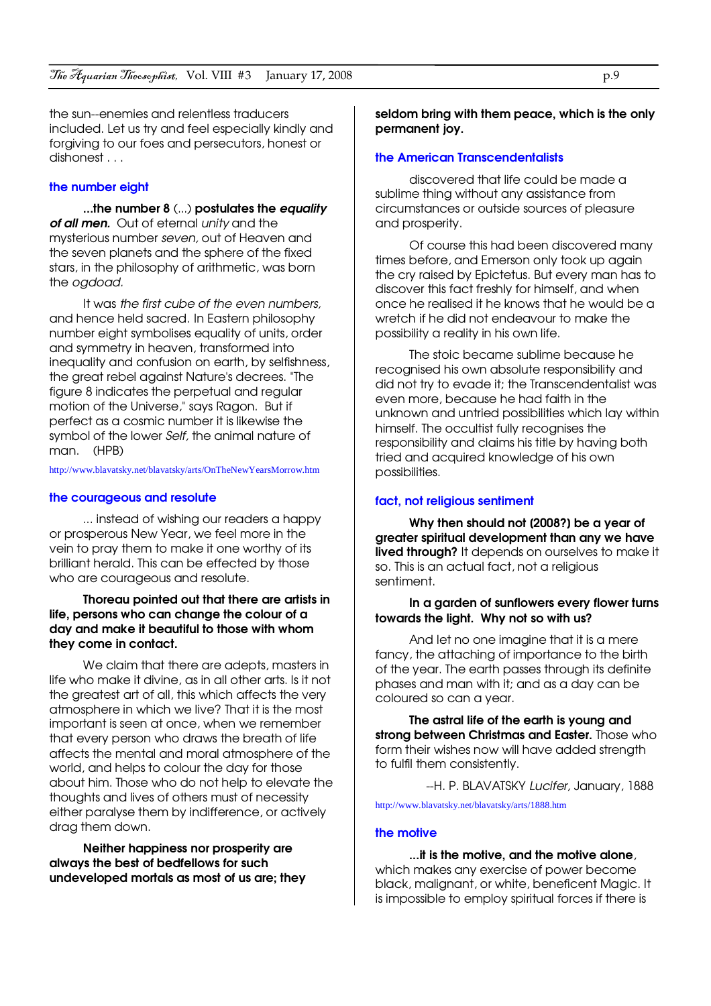the sun--enemies and relentless traducers included. Let us try and feel especially kindly and forgiving to our foes and persecutors, honest or dishonest . . .

#### the number eight

...the number 8 (...) postulates the equality of all men. Out of eternal unity and the mysterious number seven, out of Heaven and the seven planets and the sphere of the fixed stars, in the philosophy of arithmetic, was born the oadoad.

It was the first cube of the even numbers, and hence held sacred. In Eastern philosophy number eight symbolises equality of units, order and symmetry in heaven, transformed into inequality and confusion on earth, by selfishness, the great rebel against Nature's decrees. "The figure 8 indicates the perpetual and regular motion of the Universe," says Ragon. But if perfect as a cosmic number it is likewise the symbol of the lower Self, the animal nature of man. (HPB)

http://www.blavatsky.net/blavatsky/arts/OnTheNewYearsMorrow.htm

#### the courageous and resolute

... instead of wishing our readers a happy or prosperous New Year, we feel more in the vein to pray them to make it one worthy of its brilliant herald. This can be effected by those who are courageous and resolute.

#### Thoreau pointed out that there are artists in life, persons who can change the colour of a day and make it beautiful to those with whom they come in contact.

We claim that there are adepts, masters in life who make it divine, as in all other arts. Is it not the greatest art of all, this which affects the very atmosphere in which we live? That it is the most important is seen at once, when we remember that every person who draws the breath of life affects the mental and moral atmosphere of the world, and helps to colour the day for those about him. Those who do not help to elevate the thoughts and lives of others must of necessity either paralyse them by indifference, or actively drag them down.

Neither happiness nor prosperity are always the best of bedfellows for such undeveloped mortals as most of us are; they seldom bring with them peace, which is the only permanent joy.

#### the American Transcendentalists

discovered that life could be made a sublime thing without any assistance from circumstances or outside sources of pleasure and prosperity.

Of course this had been discovered many times before, and Emerson only took up again the cry raised by Epictetus. But every man has to discover this fact freshly for himself, and when once he realised it he knows that he would be a wretch if he did not endeavour to make the possibility a reality in his own life.

The stoic became sublime because he recognised his own absolute responsibility and did not try to evade it; the Transcendentalist was even more, because he had faith in the unknown and untried possibilities which lay within himself. The occultist fully recognises the responsibility and claims his title by having both tried and acquired knowledge of his own possibilities.

#### fact, not religious sentiment

Why then should not [2008?] be a year of greater spiritual development than any we have lived through? It depends on ourselves to make it so. This is an actual fact, not a religious sentiment.

#### In a garden of sunflowers every flower turns towards the light. Why not so with us?

And let no one imagine that it is a mere fancy, the attaching of importance to the birth of the year. The earth passes through its definite phases and man with it; and as a day can be coloured so can a year.

The astral life of the earth is young and strong between Christmas and Easter. Those who form their wishes now will have added strength to fulfil them consistently.

-H. P. BLAVATSKY Lucifer, January, 1888

http://www.blavatsky.net/blavatsky/arts/1888.htm

#### the motive

#### ...it is the motive, and the motive alone,

which makes any exercise of power become black, malignant, or white, beneficent Magic. It is impossible to employ spiritual forces if there is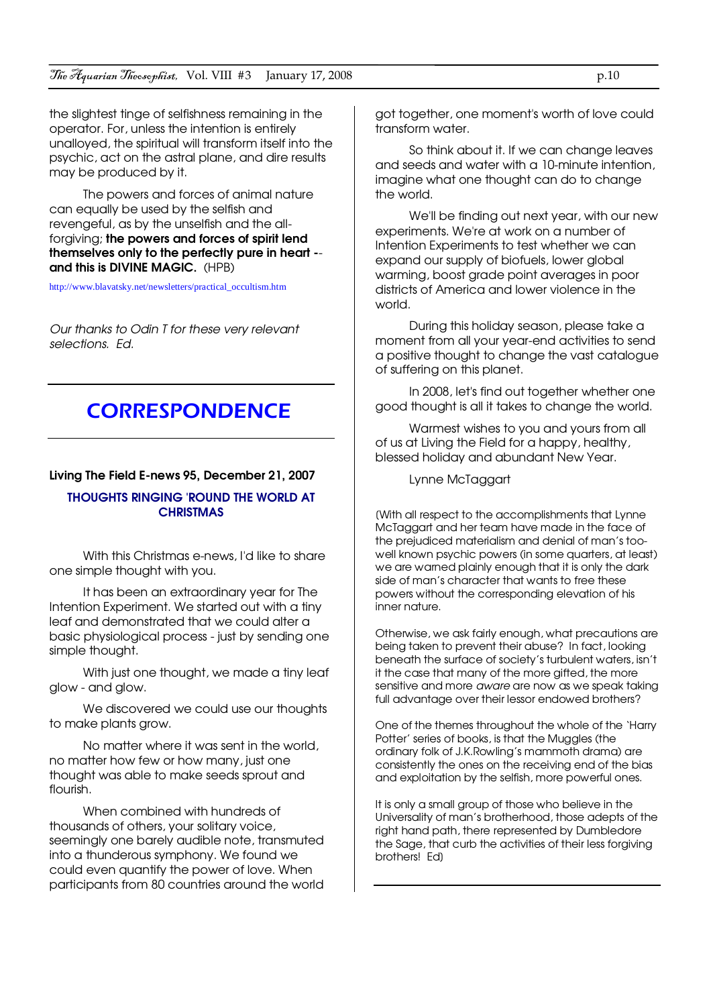the slightest tinge of selfishness remaining in the operator. For, unless the intention is entirely unalloyed, the spiritual will transform itself into the psychic, act on the astral plane, and dire results may be produced by it.

The powers and forces of animal nature can equally be used by the selfish and revengeful, as by the unselfish and the allforgiving; the powers and forces of spirit lend themselves only to the perfectly pure in heart - and this is DIVINE MAGIC. (HPB)

http://www.blavatsky.net/newsletters/practical\_occultism.htm

Our thanks to Odin T for these very relevant selections. Ed.

### **CORRESPONDENCE**

#### Living The Field E-news 95, December 21, 2007

#### THOUGHTS RINGING 'ROUND THE WORLD AT **CHRISTMAS**

With this Christmas e-news, I'd like to share one simple thought with you.

It has been an extraordinary year for The Intention Experiment. We started out with a tiny leaf and demonstrated that we could alter a basic physiological process - just by sending one simple thought.

With just one thought, we made a tiny leaf glow - and glow.

We discovered we could use our thoughts to make plants grow.

No matter where it was sent in the world, no matter how few or how many, just one thought was able to make seeds sprout and flourish.

When combined with hundreds of thousands of others, your solitary voice, seemingly one barely audible note, transmuted into a thunderous symphony. We found we could even quantify the power of love. When participants from 80 countries around the world

got together, one moment's worth of love could transform water.

So think about it. If we can change leaves and seeds and water with a 10-minute intention, imagine what one thought can do to change the world.

We'll be finding out next year, with our new experiments. We're at work on a number of Intention Experiments to test whether we can expand our supply of biofuels, lower global warming, boost grade point averages in poor districts of America and lower violence in the world.

During this holiday season, please take a moment from all your year-end activities to send a positive thought to change the vast catalogue of suffering on this planet.

In 2008, let's find out together whether one good thought is all it takes to change the world.

Warmest wishes to you and yours from all of us at Living the Field for a happy, healthy, blessed holiday and abundant New Year.

Lynne McTaggart

[With all respect to the accomplishments that Lynne McTaggart and her team have made in the face of the prejudiced materialism and denial of man's toowell known psychic powers (in some quarters, at least) we are warned plainly enough that it is only the dark side of man's character that wants to free these powers without the corresponding elevation of his inner nature.

Otherwise, we ask fairly enough, what precautions are being taken to prevent their abuse? In fact, looking beneath the surface of society's turbulent waters, isn't it the case that many of the more gifted, the more sensitive and more aware are now as we speak taking full advantage over their lessor endowed brothers?

One of the themes throughout the whole of the 'Harry Potter' series of books, is that the Muggles (the ordinary folk of J.K.Rowling's mammoth drama) are consistently the ones on the receiving end of the bias and exploitation by the selfish, more powerful ones.

It is only a small group of those who believe in the Universality of man's brotherhood, those adepts of the right hand path, there represented by Dumbledore the Sage, that curb the activities of their less forgiving brothers! Ed]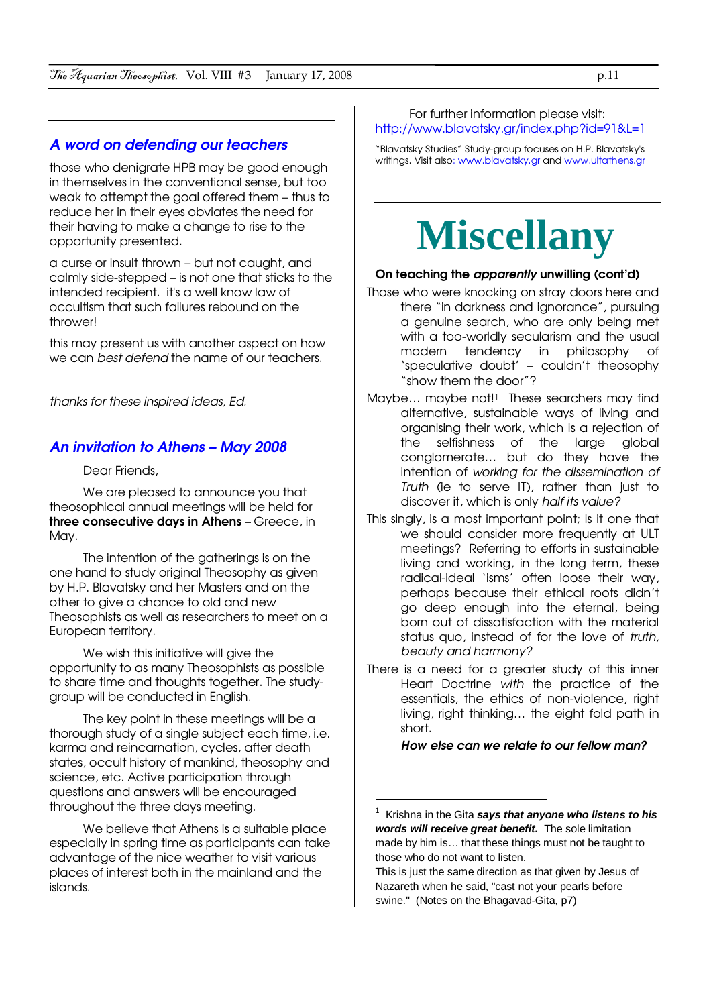#### A word on defending our teachers

those who denigrate HPB may be good enough in themselves in the conventional sense, but too weak to attempt the goal offered them – thus to reduce her in their eyes obviates the need for their having to make a change to rise to the opportunity presented.

a curse or insult thrown – but not caught, and calmly side-stepped – is not one that sticks to the intended recipient. it's a well know law of occultism that such failures rebound on the thrower!

this may present us with another aspect on how we can best defend the name of our teachers.

thanks for these inspired ideas, Ed.

#### An invitation to Athens – May 2008

Dear Friends,

We are pleased to announce you that theosophical annual meetings will be held for three consecutive days in Athens – Greece, in Mav.

The intention of the gatherings is on the one hand to study original Theosophy as given by H.P. Blavatsky and her Masters and on the other to give a chance to old and new Theosophists as well as researchers to meet on a European territory.

We wish this initiative will give the opportunity to as many Theosophists as possible to share time and thoughts together. The studygroup will be conducted in English.

The key point in these meetings will be a thorough study of a single subject each time, i.e. karma and reincarnation, cycles, after death states, occult history of mankind, theosophy and science, etc. Active participation through questions and answers will be encouraged throughout the three days meeting.

We believe that Athens is a suitable place especially in spring time as participants can take advantage of the nice weather to visit various places of interest both in the mainland and the islands.

#### For further information please visit: http://www.blavatsky.gr/index.php?id=91&L=1

"Blavatsky Studies" Study-group focuses on H.P. Blavatsky's writings. Visit also: www.blavatsky.gr and www.ultathens.gr

## **Miscellany**

#### On teaching the apparently unwilling (cont'd)

- Those who were knocking on stray doors here and there "in darkness and ignorance", pursuing a genuine search, who are only being met with a too-worldly secularism and the usual modern tendency in philosophy of 'speculative doubt' – couldn't theosophy "show them the door"?
- Maybe... maybe not!<sup>1</sup> These searchers may find alternative, sustainable ways of living and organising their work, which is a rejection of the selfishness of the large global conglomerate… but do they have the intention of working for the dissemination of Truth (ie to serve IT), rather than just to discover it, which is only half its value?
- This singly, is a most important point; is it one that we should consider more frequently at ULT meetings? Referring to efforts in sustainable living and working, in the long term, these radical-ideal 'isms' often loose their way, perhaps because their ethical roots didn't go deep enough into the eternal, being born out of dissatisfaction with the material status quo, instead of for the love of truth, beauty and harmony?
- There is a need for a greater study of this inner Heart Doctrine with the practice of the essentials, the ethics of non-violence, right living, right thinking… the eight fold path in short.

How else can we relate to our fellow man?

 $\overline{a}$ 

<sup>1</sup> Krishna in the Gita **says that anyone who listens to his words will receive great benefit.** The sole limitation made by him is… that these things must not be taught to those who do not want to listen.

This is just the same direction as that given by Jesus of Nazareth when he said, "cast not your pearls before swine." (Notes on the Bhagavad-Gita, p7)